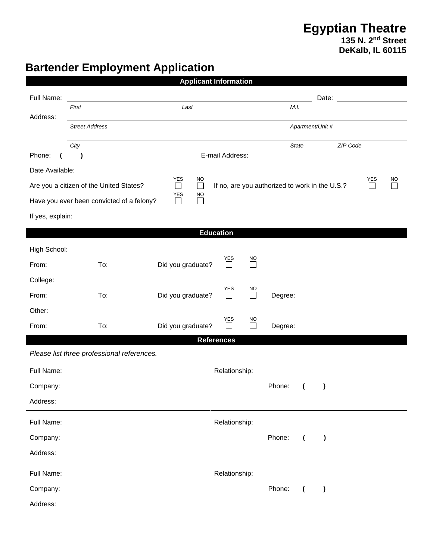## **Egyptian Theatre 135 N. 2nd Street DeKalb, IL 60115**

## **Bartender Employment Application**

| <b>Applicant Information</b>                                                                                                         |                                            |                                  |                             |         |                                       |          |  |  |  |  |  |  |
|--------------------------------------------------------------------------------------------------------------------------------------|--------------------------------------------|----------------------------------|-----------------------------|---------|---------------------------------------|----------|--|--|--|--|--|--|
| Full Name:                                                                                                                           |                                            |                                  |                             |         | Date:                                 |          |  |  |  |  |  |  |
| Address:                                                                                                                             | First<br>Last                              |                                  |                             | M.I.    |                                       |          |  |  |  |  |  |  |
|                                                                                                                                      | <b>Street Address</b>                      |                                  | Apartment/Unit #            |         |                                       |          |  |  |  |  |  |  |
|                                                                                                                                      | City                                       |                                  |                             | State   |                                       | ZIP Code |  |  |  |  |  |  |
| Phone:                                                                                                                               | E-mail Address:<br>$\lambda$               |                                  |                             |         |                                       |          |  |  |  |  |  |  |
| Date Available:<br><b>YES</b><br><b>NO</b><br><b>YES</b><br><b>NO</b>                                                                |                                            |                                  |                             |         |                                       |          |  |  |  |  |  |  |
| If no, are you authorized to work in the U.S.?<br>Are you a citizen of the United States?<br>$\Box$<br>$\Box$<br>$\Box$<br>YES<br>NO |                                            |                                  |                             |         |                                       |          |  |  |  |  |  |  |
|                                                                                                                                      | Have you ever been convicted of a felony?  | П<br>$\mathcal{L}_{\mathcal{A}}$ |                             |         |                                       |          |  |  |  |  |  |  |
| If yes, explain:                                                                                                                     |                                            |                                  |                             |         |                                       |          |  |  |  |  |  |  |
|                                                                                                                                      |                                            | <b>Education</b>                 |                             |         |                                       |          |  |  |  |  |  |  |
| High School:                                                                                                                         |                                            |                                  | YES                         |         |                                       |          |  |  |  |  |  |  |
| From:                                                                                                                                | To:                                        | Did you graduate?                | $\overline{\Box}$<br>$\Box$ |         |                                       |          |  |  |  |  |  |  |
| College:                                                                                                                             |                                            |                                  | <b>YES</b><br><b>NO</b>     |         |                                       |          |  |  |  |  |  |  |
| From:                                                                                                                                | To:                                        | Did you graduate?                | $\Box$<br>$\Box$            | Degree: |                                       |          |  |  |  |  |  |  |
| Other:                                                                                                                               |                                            |                                  | YES<br><b>NO</b>            |         |                                       |          |  |  |  |  |  |  |
| From:                                                                                                                                | To:                                        | Did you graduate?                | $\Box$<br>$\Box$            | Degree: |                                       |          |  |  |  |  |  |  |
|                                                                                                                                      |                                            | <b>References</b>                |                             |         |                                       |          |  |  |  |  |  |  |
|                                                                                                                                      | Please list three professional references. |                                  |                             |         |                                       |          |  |  |  |  |  |  |
| Full Name:                                                                                                                           |                                            |                                  | Relationship:               |         |                                       |          |  |  |  |  |  |  |
| Company:                                                                                                                             |                                            |                                  |                             | Phone:  | $\overline{\mathcal{L}}$<br>$\lambda$ |          |  |  |  |  |  |  |
| Address:                                                                                                                             |                                            |                                  |                             |         |                                       |          |  |  |  |  |  |  |
| Relationship:<br>Full Name:                                                                                                          |                                            |                                  |                             |         |                                       |          |  |  |  |  |  |  |
| Company:                                                                                                                             |                                            |                                  |                             | Phone:  | $\lambda$<br>$\overline{ }$           |          |  |  |  |  |  |  |
| Address:                                                                                                                             |                                            |                                  |                             |         |                                       |          |  |  |  |  |  |  |
| Full Name:                                                                                                                           |                                            |                                  | Relationship:               |         |                                       |          |  |  |  |  |  |  |
| Company:                                                                                                                             |                                            |                                  |                             | Phone:  | $\lambda$<br>$\overline{\mathcal{L}}$ |          |  |  |  |  |  |  |
| Address:                                                                                                                             |                                            |                                  |                             |         |                                       |          |  |  |  |  |  |  |